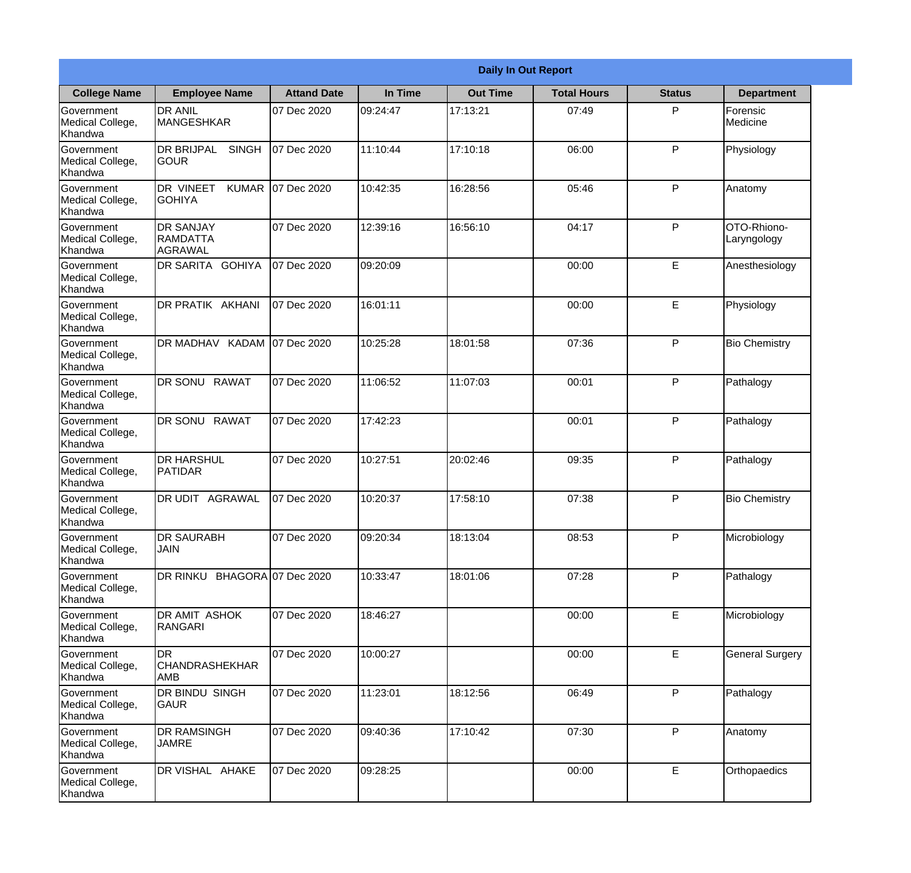|                                                  | <b>Daily In Out Report</b>                            |                    |          |                 |                    |               |                            |
|--------------------------------------------------|-------------------------------------------------------|--------------------|----------|-----------------|--------------------|---------------|----------------------------|
| <b>College Name</b>                              | <b>Employee Name</b>                                  | <b>Attand Date</b> | In Time  | <b>Out Time</b> | <b>Total Hours</b> | <b>Status</b> | <b>Department</b>          |
| Government<br>Medical College,<br>Khandwa        | <b>DR ANIL</b><br><b>MANGESHKAR</b>                   | 07 Dec 2020        | 09:24:47 | 17:13:21        | 07:49              | P             | Forensic<br>Medicine       |
| Government<br>Medical College,<br>Khandwa        | <b>DR BRIJPAL</b><br><b>SINGH</b><br> GOUR            | 07 Dec 2020        | 11:10:44 | 17:10:18        | 06:00              | P             | Physiology                 |
| <b>Government</b><br>Medical College,<br>Khandwa | <b>DR VINEET</b><br><b>KUMAR</b><br><b>I</b> GOHIYA   | 07 Dec 2020        | 10:42:35 | 16:28:56        | 05:46              | P             | Anatomy                    |
| Government<br>Medical College,<br>Khandwa        | <b>DR SANJAY</b><br><b>RAMDATTA</b><br><b>AGRAWAL</b> | 07 Dec 2020        | 12:39:16 | 16:56:10        | 04:17              | P             | OTO-Rhiono-<br>Laryngology |
| Government<br>Medical College,<br>Khandwa        | <b>IDR SARITA GOHIYA</b>                              | 07 Dec 2020        | 09:20:09 |                 | 00:00              | E             | Anesthesiology             |
| Government<br>Medical College,<br>Khandwa        | DR PRATIK AKHANI                                      | 07 Dec 2020        | 16:01:11 |                 | 00:00              | E             | Physiology                 |
| Government<br>Medical College,<br>Khandwa        | DR MADHAV KADAM 07 Dec 2020                           |                    | 10:25:28 | 18:01:58        | 07:36              | P             | <b>Bio Chemistry</b>       |
| Government<br>Medical College,<br>Khandwa        | DR SONU RAWAT                                         | 07 Dec 2020        | 11:06:52 | 11:07:03        | 00:01              | P             | Pathalogy                  |
| Government<br>Medical College,<br>Khandwa        | <b>DR SONU</b><br><b>RAWAT</b>                        | 07 Dec 2020        | 17:42:23 |                 | 00:01              | P             | Pathalogy                  |
| Government<br>Medical College,<br>Khandwa        | <b>DR HARSHUL</b><br>PATIDAR                          | 07 Dec 2020        | 10:27:51 | 20:02:46        | 09:35              | P             | Pathalogy                  |
| Government<br>Medical College,<br>Khandwa        | <b>DR UDIT</b><br><b>AGRAWAL</b>                      | 07 Dec 2020        | 10:20:37 | 17:58:10        | 07:38              | $\mathsf{P}$  | <b>Bio Chemistry</b>       |
| Government<br>Medical College,<br>Khandwa        | <b>DR SAURABH</b><br><b>JAIN</b>                      | 07 Dec 2020        | 09:20:34 | 18:13:04        | 08:53              | P             | Microbiology               |
| Government<br>Medical College,<br>Khandwa        | DR RINKU BHAGORA 07 Dec 2020                          |                    | 10:33:47 | 18:01:06        | 07:28              | P             | Pathalogy                  |
| Government<br>Medical College,<br>Khandwa        | <b>DR AMIT ASHOK</b><br>RANGARI                       | 07 Dec 2020        | 18:46:27 |                 | 00:00              | E             | Microbiology               |
| Government<br>Medical College,<br>Khandwa        | <b>DR</b><br> CHANDRASHEKHAR<br><b>AMB</b>            | 07 Dec 2020        | 10:00:27 |                 | 00:00              | E             | <b>General Surgery</b>     |
| Government<br>Medical College,<br>Khandwa        | DR BINDU SINGH<br><b>GAUR</b>                         | 07 Dec 2020        | 11:23:01 | 18:12:56        | 06:49              | P             | Pathalogy                  |
| Government<br>Medical College,<br>Khandwa        | <b>DR RAMSINGH</b><br><b>JAMRE</b>                    | 07 Dec 2020        | 09:40:36 | 17:10:42        | 07:30              | P             | Anatomy                    |
| Government<br>Medical College,<br>Khandwa        | DR VISHAL AHAKE                                       | 07 Dec 2020        | 09:28:25 |                 | 00:00              | E             | Orthopaedics               |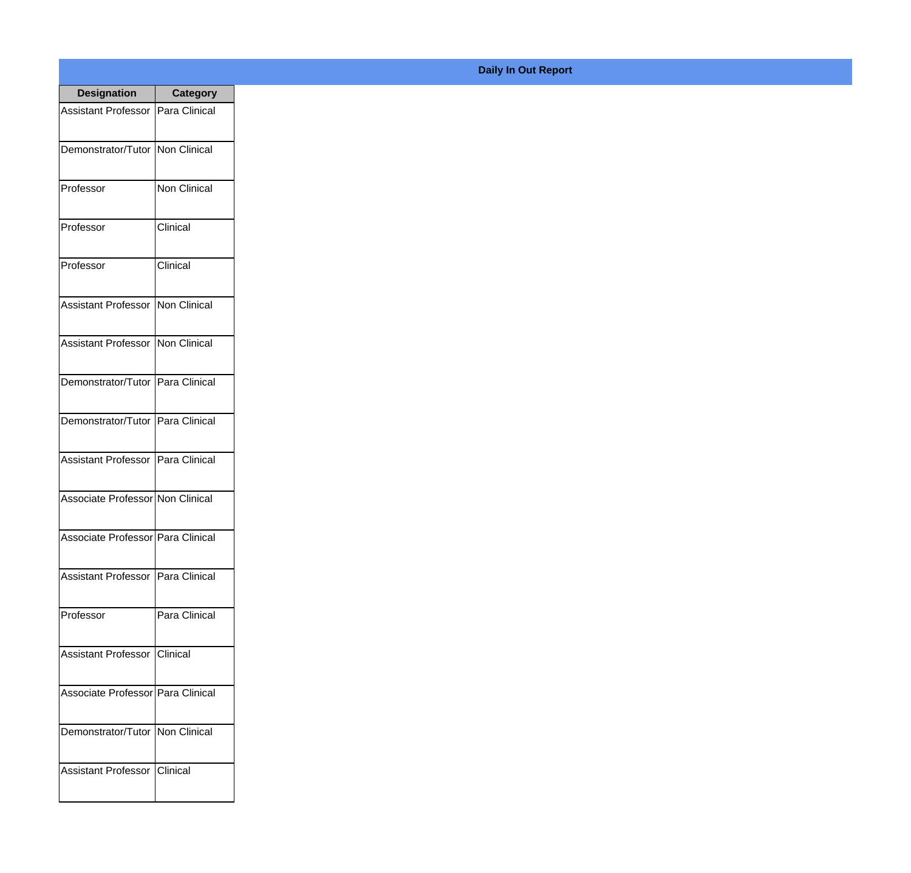| <b>Designation</b>                  | Category            |
|-------------------------------------|---------------------|
| <b>Assistant Professor</b>          | Para Clinical       |
| Demonstrator/Tutor                  | Non Clinical        |
| Professor                           | <b>Non Clinical</b> |
| Professor                           | Clinical            |
| Professor                           | Clinical            |
| <b>Assistant Professor</b>          | Non Clinical        |
| <b>Assistant Professor</b>          | <b>Non Clinical</b> |
| Demonstrator/Tutor   Para Clinical  |                     |
| Demonstrator/Tutor   Para Clinical  |                     |
| <b>Assistant Professor</b>          | Para Clinical       |
| Associate Professor Non Clinical    |                     |
| Associate Professor   Para Clinical |                     |
| Assistant Professor   Para Clinical |                     |
| Professor                           | Para Clinical       |
| <b>Assistant Professor</b>          | <b>Clinical</b>     |
| Associate Professor   Para Clinical |                     |
| Demonstrator/Tutor   Non Clinical   |                     |
| <b>Assistant Professor</b>          | <b>IClinical</b>    |

## **Daily In Out Report**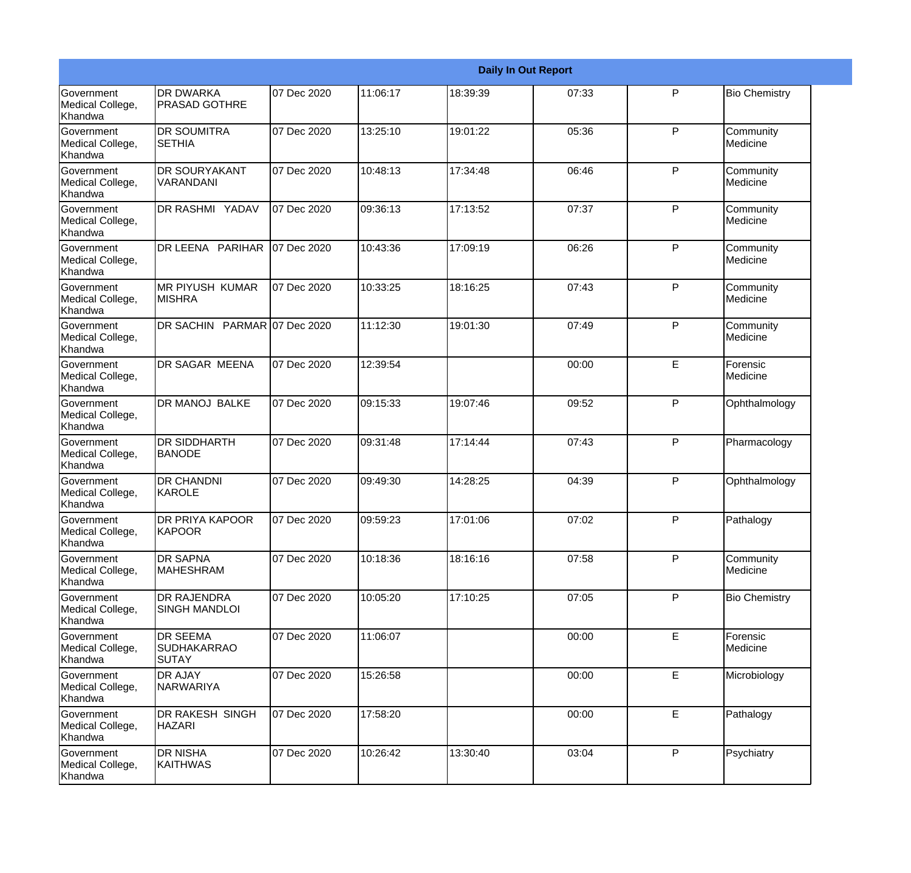|                                                  |                                                       |             |          |          | <b>Daily In Out Report</b> |   |                       |
|--------------------------------------------------|-------------------------------------------------------|-------------|----------|----------|----------------------------|---|-----------------------|
| <b>Government</b><br>Medical College,<br>Khandwa | <b>DR DWARKA</b><br><b>PRASAD GOTHRE</b>              | 07 Dec 2020 | 11:06:17 | 18:39:39 | 07:33                      | P | <b>Bio Chemistry</b>  |
| Government<br>Medical College,<br>Khandwa        | <b>DR SOUMITRA</b><br><b>SETHIA</b>                   | 07 Dec 2020 | 13:25:10 | 19:01:22 | 05:36                      | P | Community<br>Medicine |
| <b>Government</b><br>Medical College,<br>Khandwa | <b>DR SOURYAKANT</b><br>VARANDANI                     | 07 Dec 2020 | 10:48:13 | 17:34:48 | 06:46                      | P | Community<br>Medicine |
| <b>Government</b><br>Medical College,<br>Khandwa | <b>DR RASHMI YADAV</b>                                | 07 Dec 2020 | 09:36:13 | 17:13:52 | 07:37                      | P | Community<br>Medicine |
| Government<br>Medical College,<br>Khandwa        | DR LEENA PARIHAR                                      | 07 Dec 2020 | 10:43:36 | 17:09:19 | 06:26                      | P | Community<br>Medicine |
| Government<br>Medical College,<br>Khandwa        | <b>MR PIYUSH KUMAR</b><br><b>MISHRA</b>               | 07 Dec 2020 | 10:33:25 | 18:16:25 | 07:43                      | P | Community<br>Medicine |
| <b>Government</b><br>Medical College,<br>Khandwa | DR SACHIN PARMAR 07 Dec 2020                          |             | 11:12:30 | 19:01:30 | 07:49                      | P | Community<br>Medicine |
| Government<br>Medical College,<br>Khandwa        | <b>DR SAGAR MEENA</b>                                 | 07 Dec 2020 | 12:39:54 |          | 00:00                      | E | Forensic<br>Medicine  |
| Government<br>Medical College,<br>Khandwa        | <b>DR MANOJ BALKE</b>                                 | 07 Dec 2020 | 09:15:33 | 19:07:46 | 09:52                      | P | Ophthalmology         |
| Government<br>Medical College,<br>Khandwa        | <b>DR SIDDHARTH</b><br><b>BANODE</b>                  | 07 Dec 2020 | 09:31:48 | 17:14:44 | 07:43                      | P | Pharmacology          |
| <b>Government</b><br>Medical College,<br>Khandwa | <b>DR CHANDNI</b><br>KAROLE                           | 07 Dec 2020 | 09:49:30 | 14:28:25 | 04:39                      | P | Ophthalmology         |
| Government<br>Medical College,<br>Khandwa        | <b>DR PRIYA KAPOOR</b><br>KAPOOR                      | 07 Dec 2020 | 09:59:23 | 17:01:06 | 07:02                      | P | Pathalogy             |
| Government<br>Medical College,<br>Khandwa        | <b>DR SAPNA</b><br>MAHESHRAM                          | 07 Dec 2020 | 10:18:36 | 18:16:16 | 07:58                      | P | Community<br>Medicine |
| <b>Government</b><br>Medical College,<br>Khandwa | <b>DR RAJENDRA</b><br><b>SINGH MANDLOI</b>            | 07 Dec 2020 | 10:05:20 | 17:10:25 | 07:05                      | P | <b>Bio Chemistry</b>  |
| Government<br>Medical College,<br>Khandwa        | <b>DR SEEMA</b><br><b>SUDHAKARRAO</b><br><b>SUTAY</b> | 07 Dec 2020 | 11:06:07 |          | 00:00                      | E | Forensic<br>Medicine  |
| Government<br>Medical College,<br>Khandwa        | <b>DR AJAY</b><br>NARWARIYA                           | 07 Dec 2020 | 15:26:58 |          | 00:00                      | E | Microbiology          |
| Government<br>Medical College,<br>Khandwa        | DR RAKESH SINGH<br><b>HAZARI</b>                      | 07 Dec 2020 | 17:58:20 |          | 00:00                      | E | Pathalogy             |
| Government<br>Medical College,<br>Khandwa        | <b>DR NISHA</b><br><b>KAITHWAS</b>                    | 07 Dec 2020 | 10:26:42 | 13:30:40 | 03:04                      | P | Psychiatry            |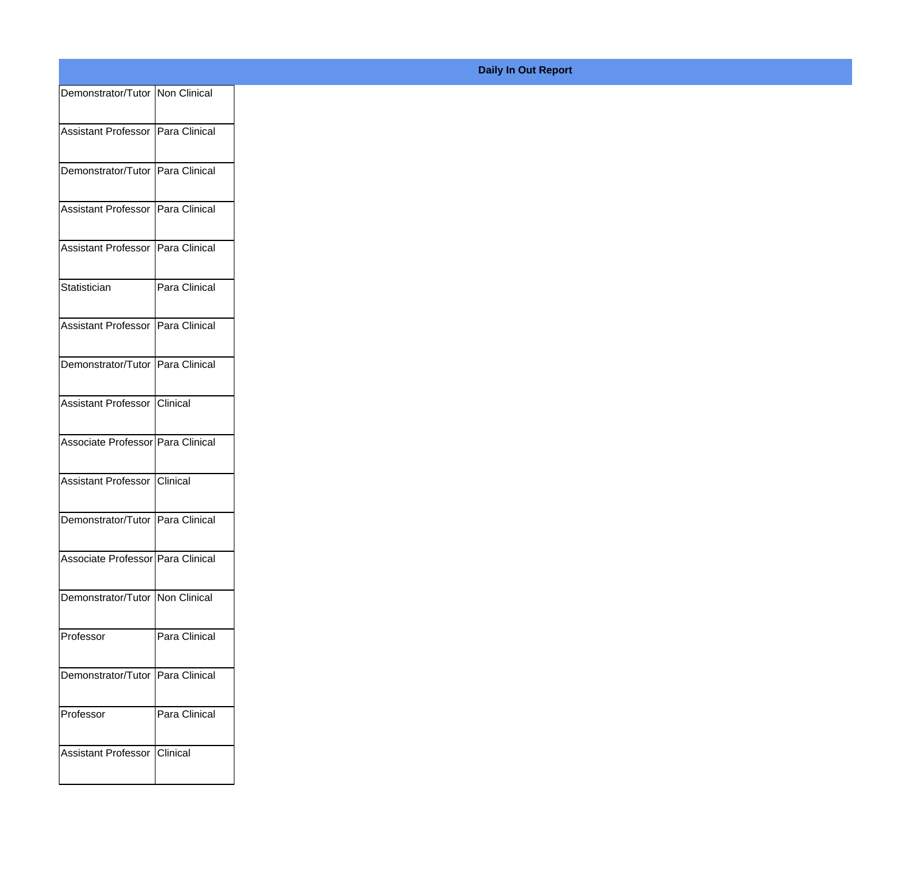| Demonstrator/Tutor Non Clinical     |               |
|-------------------------------------|---------------|
| Assistant Professor   Para Clinical |               |
| Demonstrator/Tutor Para Clinical    |               |
|                                     |               |
| Assistant Professor   Para Clinical |               |
| Assistant Professor   Para Clinical |               |
| Statistician                        | Para Clinical |
| Assistant Professor Para Clinical   |               |
| Demonstrator/Tutor Para Clinical    |               |
| Assistant Professor Clinical        |               |
| Associate Professor Para Clinical   |               |
| Assistant Professor Clinical        |               |
| Demonstrator/Tutor Para Clinical    |               |
| Associate Professor Para Clinical   |               |
| Demonstrator/Tutor Non Clinical     |               |
| Professor                           | Para Clinical |
| Demonstrator/Tutor Para Clinical    |               |
| Professor                           | Para Clinical |
| Assistant Professor                 | Clinical      |
|                                     |               |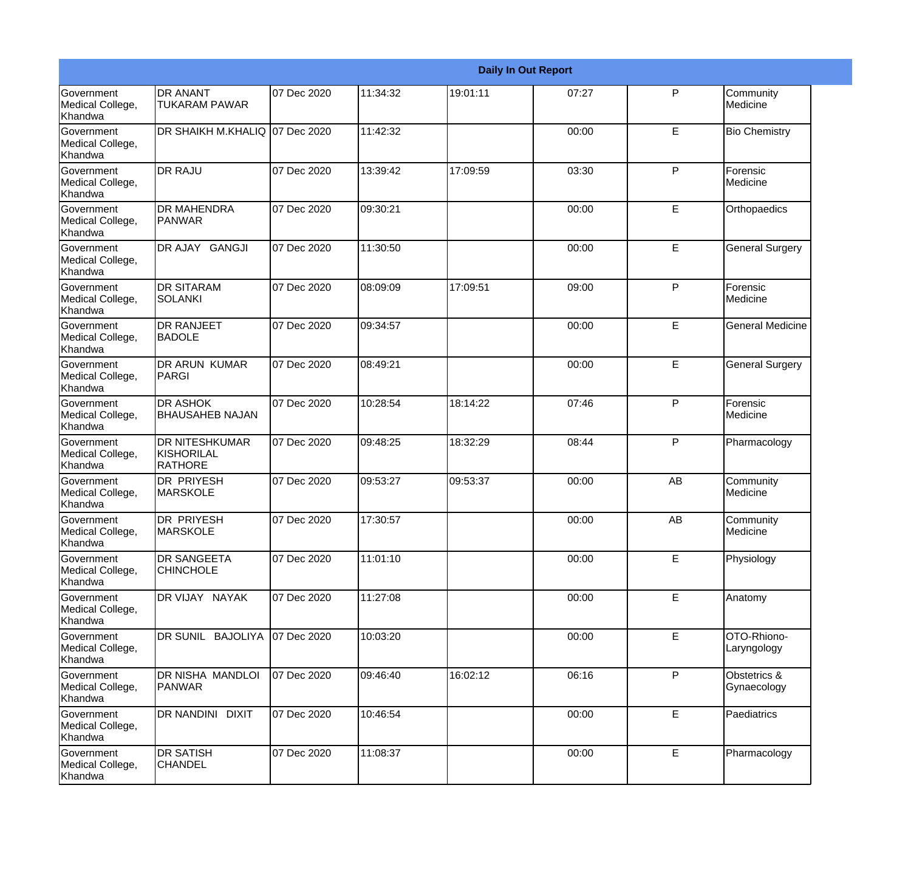|                                           |                                                       | <b>Daily In Out Report</b> |           |          |       |              |                             |
|-------------------------------------------|-------------------------------------------------------|----------------------------|-----------|----------|-------|--------------|-----------------------------|
| Government<br>Medical College,<br>Khandwa | <b>DR ANANT</b><br><b>TUKARAM PAWAR</b>               | 07 Dec 2020                | 11:34:32  | 19:01:11 | 07:27 | P            | Community<br>Medicine       |
| Government<br>Medical College,<br>Khandwa | DR SHAIKH M.KHALIQ 07 Dec 2020                        |                            | 11:42:32  |          | 00:00 | E            | <b>Bio Chemistry</b>        |
| Government<br>Medical College,<br>Khandwa | <b>DR RAJU</b>                                        | 07 Dec 2020                | 13:39:42  | 17:09:59 | 03:30 | P            | Forensic<br>Medicine        |
| Government<br>Medical College,<br>Khandwa | <b>DR MAHENDRA</b><br><b>PANWAR</b>                   | 07 Dec 2020                | 09:30:21  |          | 00:00 | E            | Orthopaedics                |
| Government<br>Medical College,<br>Khandwa | DR AJAY GANGJI                                        | 07 Dec 2020                | 11:30:50  |          | 00:00 | E            | <b>General Surgery</b>      |
| Government<br>Medical College,<br>Khandwa | <b>DR SITARAM</b><br><b>SOLANKI</b>                   | 07 Dec 2020                | 08:09:09  | 17:09:51 | 09:00 | $\mathsf{P}$ | Forensic<br>Medicine        |
| Government<br>Medical College,<br>Khandwa | <b>DR RANJEET</b><br><b>BADOLE</b>                    | 07 Dec 2020                | 09:34:57  |          | 00:00 | E            | <b>General Medicine</b>     |
| Government<br>Medical College,<br>Khandwa | <b>DR ARUN KUMAR</b><br>PARGI                         | 07 Dec 2020                | 08:49:21  |          | 00:00 | E            | <b>General Surgery</b>      |
| Government<br>Medical College,<br>Khandwa | <b>DR ASHOK</b><br><b>BHAUSAHEB NAJAN</b>             | 07 Dec 2020                | 10:28:54  | 18:14:22 | 07:46 | $\mathsf{P}$ | Forensic<br>Medicine        |
| Government<br>Medical College,<br>Khandwa | <b>DR NITESHKUMAR</b><br>KISHORILAL<br><b>RATHORE</b> | 07 Dec 2020                | 09:48:25  | 18:32:29 | 08:44 | $\mathsf{P}$ | Pharmacology                |
| Government<br>Medical College,<br>Khandwa | <b>DR PRIYESH</b><br><b>MARSKOLE</b>                  | 07 Dec 2020                | 109:53:27 | 09:53:37 | 00:00 | AB           | Community<br>Medicine       |
| Government<br>Medical College,<br>Khandwa | <b>DR PRIYESH</b><br><b>MARSKOLE</b>                  | 07 Dec 2020                | 17:30:57  |          | 00:00 | AB           | Community<br>Medicine       |
| Government<br>Medical College,<br>Khandwa | <b>DR SANGEETA</b><br><b>CHINCHOLE</b>                | 07 Dec 2020                | 11:01:10  |          | 00:00 | E            | Physiology                  |
| Government<br>Medical College,<br>Khandwa | DR VIJAY NAYAK                                        | 07 Dec 2020                | 11:27:08  |          | 00:00 | E            | Anatomy                     |
| Government<br>Medical College,<br>Khandwa | DR SUNIL BAJOLIYA 07 Dec 2020                         |                            | 10:03:20  |          | 00:00 | E            | OTO-Rhiono-<br>Laryngology  |
| Government<br>Medical College,<br>Khandwa | DR NISHA MANDLOI<br>PANWAR                            | 07 Dec 2020                | 09:46:40  | 16:02:12 | 06:16 | $\mathsf{P}$ | Obstetrics &<br>Gynaecology |
| Government<br>Medical College,<br>Khandwa | DR NANDINI DIXIT                                      | 07 Dec 2020                | 10:46:54  |          | 00:00 | E            | Paediatrics                 |
| Government<br>Medical College,<br>Khandwa | <b>DR SATISH</b><br><b>CHANDEL</b>                    | 07 Dec 2020                | 11:08:37  |          | 00:00 | E            | Pharmacology                |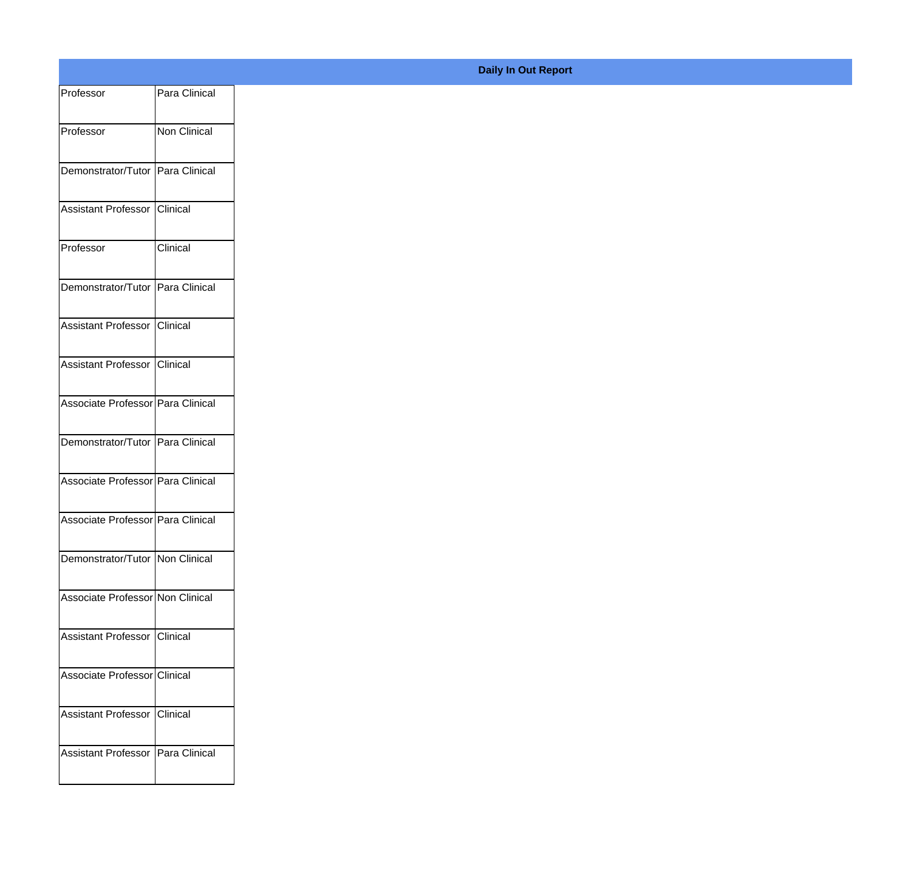| Professor                         | Para Clinical |
|-----------------------------------|---------------|
| Professor                         | Non Clinical  |
| Demonstrator/Tutor Para Clinical  |               |
| Assistant Professor Clinical      |               |
| Professor                         | Clinical      |
| Demonstrator/Tutor Para Clinical  |               |
| Assistant Professor Clinical      |               |
| Assistant Professor Clinical      |               |
| Associate Professor Para Clinical |               |
| Demonstrator/Tutor Para Clinical  |               |
| Associate Professor Para Clinical |               |
| Associate Professor Para Clinical |               |
| Demonstrator/Tutor Non Clinical   |               |
| Associate Professor Non Clinical  |               |
| Assistant Professor Clinical      |               |
| Associate Professor Clinical      |               |
| Assistant Professor Clinical      |               |
|                                   |               |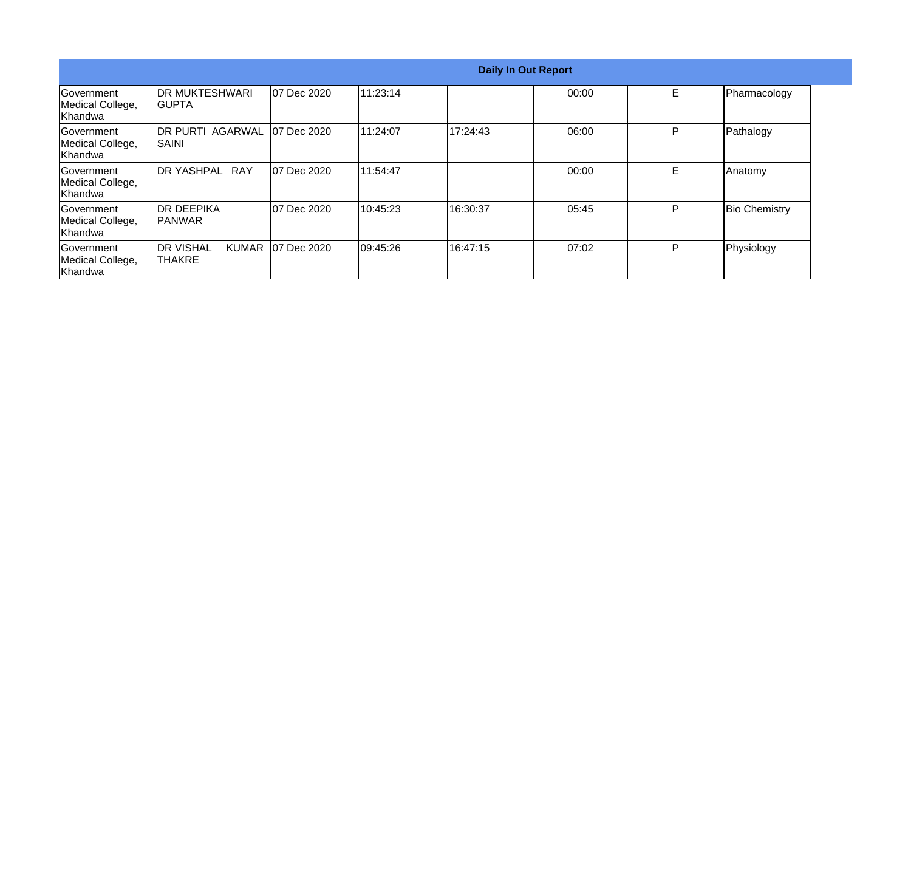|                                            | <b>Daily In Out Report</b>              |                     |           |          |       |   |                      |  |
|--------------------------------------------|-----------------------------------------|---------------------|-----------|----------|-------|---|----------------------|--|
| Government<br>Medical College,<br>Khandwa  | IDR MUKTESHWARI<br>IGUPTA               | 07 Dec 2020         | 11:23:14  |          | 00:00 | E | Pharmacology         |  |
| Government<br>Medical College,<br>Khandwa  | <b>DR PURTI AGARWAL</b><br><b>SAINI</b> | <b>107 Dec 2020</b> | 11:24:07  | 17:24:43 | 06:00 | P | Pathalogy            |  |
| lGovernment<br>Medical College,<br>Khandwa | DR YASHPAL RAY                          | <b>07 Dec 2020</b>  | 11:54:47  |          | 00:00 | E | Anatomy              |  |
| Government<br>Medical College,<br>Khandwa  | <b>DR DEEPIKA</b><br>IPANWAR            | 07 Dec 2020         | 10:45:23  | 16:30:37 | 05:45 | P | <b>Bio Chemistry</b> |  |
| Government<br>Medical College,<br>Khandwa  | <b>DR VISHAL</b><br><b>ITHAKRE</b>      | KUMAR   07 Dec 2020 | 109:45:26 | 16:47:15 | 07:02 | P | Physiology           |  |